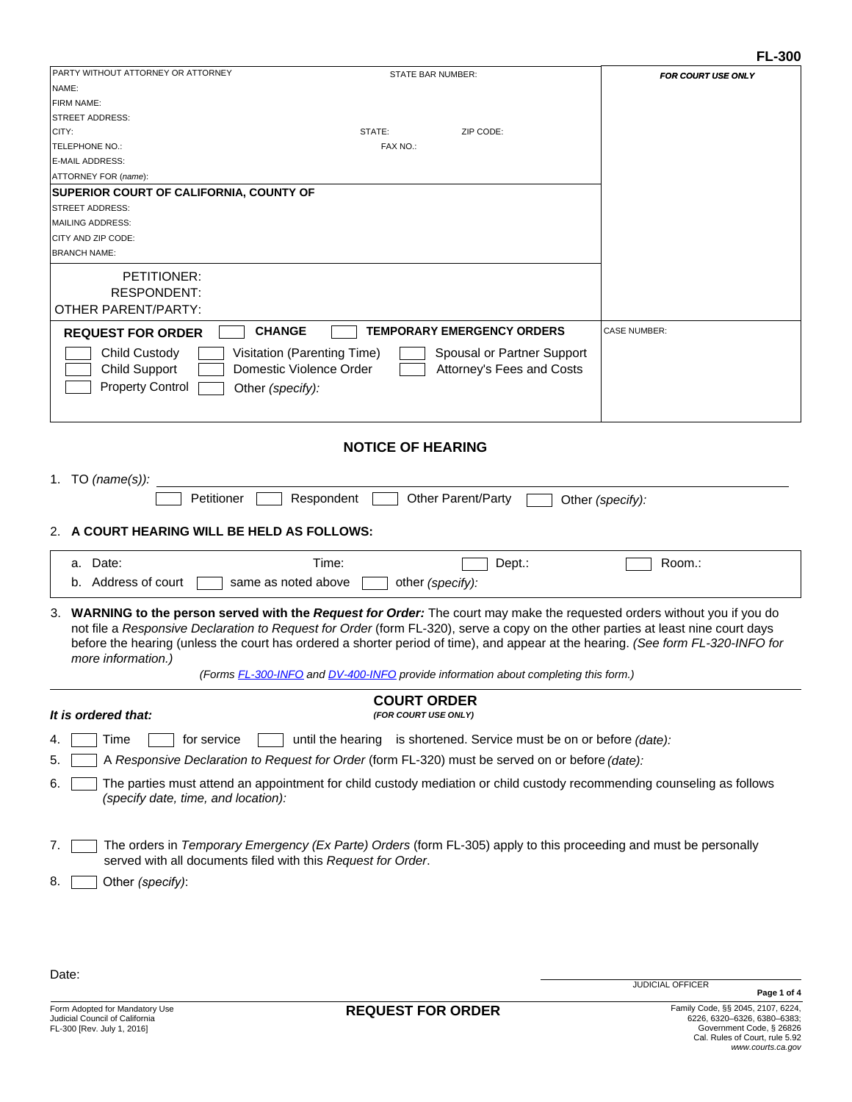| PARTY WITHOUT ATTORNEY OR ATTORNEY<br>STATE BAR NUMBER:                                                                                                             |                           |
|---------------------------------------------------------------------------------------------------------------------------------------------------------------------|---------------------------|
| NAME:                                                                                                                                                               | <b>FOR COURT USE ONLY</b> |
| FIRM NAME:                                                                                                                                                          |                           |
| <b>STREET ADDRESS:</b>                                                                                                                                              |                           |
| CITY:<br>STATE:<br>ZIP CODE:                                                                                                                                        |                           |
| TELEPHONE NO.:<br>FAX NO.:                                                                                                                                          |                           |
| E-MAIL ADDRESS:                                                                                                                                                     |                           |
| ATTORNEY FOR (name):                                                                                                                                                |                           |
| SUPERIOR COURT OF CALIFORNIA, COUNTY OF                                                                                                                             |                           |
| <b>STREET ADDRESS:</b>                                                                                                                                              |                           |
| <b>MAILING ADDRESS:</b>                                                                                                                                             |                           |
| CITY AND ZIP CODE:                                                                                                                                                  |                           |
| <b>BRANCH NAME:</b>                                                                                                                                                 |                           |
| PETITIONER:                                                                                                                                                         |                           |
| RESPONDENT:                                                                                                                                                         |                           |
| <b>OTHER PARENT/PARTY:</b>                                                                                                                                          |                           |
|                                                                                                                                                                     |                           |
| <b>CHANGE</b><br><b>TEMPORARY EMERGENCY ORDERS</b><br><b>REQUEST FOR ORDER</b>                                                                                      | <b>CASE NUMBER:</b>       |
| Child Custody<br>Visitation (Parenting Time)<br>Spousal or Partner Support                                                                                          |                           |
| <b>Child Support</b><br>Domestic Violence Order<br>Attorney's Fees and Costs                                                                                        |                           |
| <b>Property Control</b><br>Other (specify):                                                                                                                         |                           |
|                                                                                                                                                                     |                           |
|                                                                                                                                                                     |                           |
|                                                                                                                                                                     |                           |
| <b>NOTICE OF HEARING</b>                                                                                                                                            |                           |
|                                                                                                                                                                     |                           |
| 1. TO $(name(s))$ :                                                                                                                                                 |                           |
| Respondent<br>Other Parent/Party<br>Petitioner                                                                                                                      | Other (specify):          |
|                                                                                                                                                                     |                           |
|                                                                                                                                                                     |                           |
| A COURT HEARING WILL BE HELD AS FOLLOWS:<br>2.                                                                                                                      |                           |
|                                                                                                                                                                     |                           |
| a. Date:<br>Time:<br>Dept.:                                                                                                                                         | Room.:                    |
| b. Address of court<br>same as noted above<br>other (specify):                                                                                                      |                           |
|                                                                                                                                                                     |                           |
| WARNING to the person served with the Request for Order: The court may make the requested orders without you if you do<br>3.                                        |                           |
| not file a Responsive Declaration to Request for Order (form FL-320), serve a copy on the other parties at least nine court days                                    |                           |
| before the hearing (unless the court has ordered a shorter period of time), and appear at the hearing. (See form FL-320-INFO for                                    |                           |
| more information.)                                                                                                                                                  |                           |
| (Forms FL-300-INFO and DV-400-INFO provide information about completing this form.)                                                                                 |                           |
| <b>COURT ORDER</b>                                                                                                                                                  |                           |
| It is ordered that:<br>(FOR COURT USE ONLY)                                                                                                                         |                           |
|                                                                                                                                                                     |                           |
| until the hearing is shortened. Service must be on or before (date):<br>Time<br>for service<br>4.                                                                   |                           |
| A Responsive Declaration to Request for Order (form FL-320) must be served on or before (date):<br>5                                                                |                           |
|                                                                                                                                                                     |                           |
| The parties must attend an appointment for child custody mediation or child custody recommending counseling as follows<br>6.<br>(specify date, time, and location): |                           |
|                                                                                                                                                                     |                           |
|                                                                                                                                                                     |                           |
| The orders in Temporary Emergency (Ex Parte) Orders (form FL-305) apply to this proceeding and must be personally<br>7.                                             |                           |
| served with all documents filed with this Request for Order.                                                                                                        |                           |
|                                                                                                                                                                     |                           |
| Other (specify):<br>8.                                                                                                                                              |                           |
|                                                                                                                                                                     |                           |
|                                                                                                                                                                     |                           |
|                                                                                                                                                                     |                           |

Date: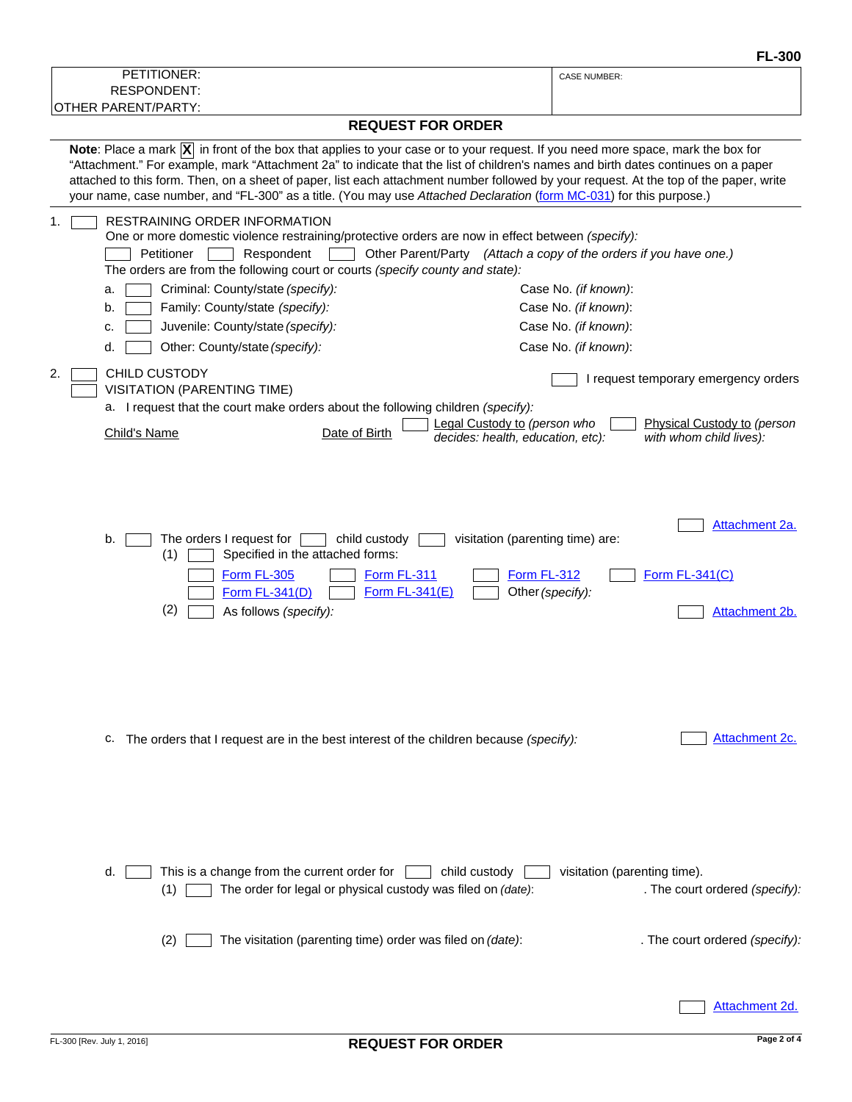| PETITIONER:                                                                                                                                                                                                                                                                                                                                                                                                                                                                                                                                           | <b>CASE NUMBER:</b>                                                                                                                       |
|-------------------------------------------------------------------------------------------------------------------------------------------------------------------------------------------------------------------------------------------------------------------------------------------------------------------------------------------------------------------------------------------------------------------------------------------------------------------------------------------------------------------------------------------------------|-------------------------------------------------------------------------------------------------------------------------------------------|
| <b>RESPONDENT:</b><br><b>OTHER PARENT/PARTY:</b>                                                                                                                                                                                                                                                                                                                                                                                                                                                                                                      |                                                                                                                                           |
| <b>REQUEST FOR ORDER</b>                                                                                                                                                                                                                                                                                                                                                                                                                                                                                                                              |                                                                                                                                           |
| Note: Place a mark $ \overline{X} $ in front of the box that applies to your case or to your request. If you need more space, mark the box for<br>"Attachment." For example, mark "Attachment 2a" to indicate that the list of children's names and birth dates continues on a paper<br>attached to this form. Then, on a sheet of paper, list each attachment number followed by your request. At the top of the paper, write<br>your name, case number, and "FL-300" as a title. (You may use Attached Declaration (form MC-031) for this purpose.) |                                                                                                                                           |
| <b>RESTRAINING ORDER INFORMATION</b><br>One or more domestic violence restraining/protective orders are now in effect between (specify):<br>Petitioner<br>Respondent<br>The orders are from the following court or courts (specify county and state):<br>Criminal: County/state (specify):<br>a.<br>Family: County/state (specify):<br>b.<br>Juvenile: County/state (specify):<br>c.                                                                                                                                                                  | Other Parent/Party (Attach a copy of the orders if you have one.)<br>Case No. (if known):<br>Case No. (if known):<br>Case No. (if known): |
| Other: County/state (specify):<br>d.                                                                                                                                                                                                                                                                                                                                                                                                                                                                                                                  | Case No. (if known):                                                                                                                      |
| <b>CHILD CUSTODY</b><br>2.<br><b>VISITATION (PARENTING TIME)</b><br>a. I request that the court make orders about the following children (specify):                                                                                                                                                                                                                                                                                                                                                                                                   | I request temporary emergency orders                                                                                                      |
| Date of Birth<br><b>Child's Name</b>                                                                                                                                                                                                                                                                                                                                                                                                                                                                                                                  | Legal Custody to (person who<br>Physical Custody to (person<br>with whom child lives):<br>decides: health, education, etc):               |
| b.<br>The orders I request for<br>child custody<br>Specified in the attached forms:<br>(1)<br>Form FL-305<br>Form FL-311<br><b>Form FL-341(D)</b><br>Form FL-341(E)<br>(2)<br>As follows (specify):                                                                                                                                                                                                                                                                                                                                                   | Attachment 2a.<br>visitation (parenting time) are:<br><b>Form FL-312</b><br>Form FL-341(C)<br>Other (specify):<br>Attachment 2b.          |
| c. The orders that I request are in the best interest of the children because (specify):                                                                                                                                                                                                                                                                                                                                                                                                                                                              | Attachment 2c.                                                                                                                            |
| This is a change from the current order for<br>child custody<br>d.<br>The order for legal or physical custody was filed on (date):<br>$(1)$                                                                                                                                                                                                                                                                                                                                                                                                           | visitation (parenting time).<br>. The court ordered (specify):                                                                            |
| The visitation (parenting time) order was filed on (date):<br>(2)                                                                                                                                                                                                                                                                                                                                                                                                                                                                                     | . The court ordered (specify):<br>Attachment 2d.                                                                                          |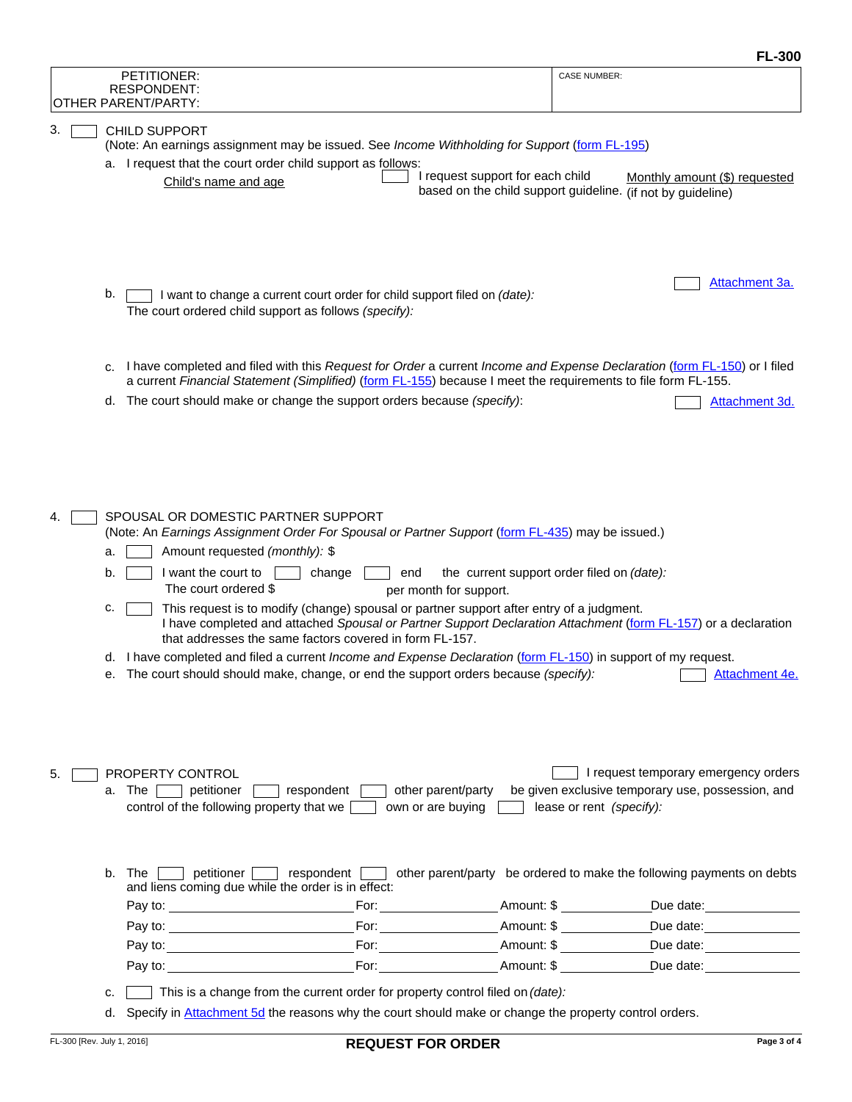|    |                                                                                                                                                                                                                                                                                                                                                  |                            |                                                                                                                                                                                                                                                                                                                                                                                                                                                                                                                                                                                                                                                                                                                                                          | г∟•งบ∪                                                                                                                |
|----|--------------------------------------------------------------------------------------------------------------------------------------------------------------------------------------------------------------------------------------------------------------------------------------------------------------------------------------------------|----------------------------|----------------------------------------------------------------------------------------------------------------------------------------------------------------------------------------------------------------------------------------------------------------------------------------------------------------------------------------------------------------------------------------------------------------------------------------------------------------------------------------------------------------------------------------------------------------------------------------------------------------------------------------------------------------------------------------------------------------------------------------------------------|-----------------------------------------------------------------------------------------------------------------------|
|    |                                                                                                                                                                                                                                                                                                                                                  |                            | PETITIONER:<br><b>RESPONDENT:</b><br>OTHER PARENT/PARTY:                                                                                                                                                                                                                                                                                                                                                                                                                                                                                                                                                                                                                                                                                                 | <b>CASE NUMBER:</b>                                                                                                   |
| З. | <b>CHILD SUPPORT</b><br>(Note: An earnings assignment may be issued. See Income Withholding for Support (form FL-195)<br>a. I request that the court order child support as follows:<br>I request support for each child<br>Monthly amount (\$) requested<br>Child's name and age<br>based on the child support guideline. (if not by guideline) |                            |                                                                                                                                                                                                                                                                                                                                                                                                                                                                                                                                                                                                                                                                                                                                                          |                                                                                                                       |
|    |                                                                                                                                                                                                                                                                                                                                                  | b.                         | I want to change a current court order for child support filed on (date):<br>The court ordered child support as follows (specify):                                                                                                                                                                                                                                                                                                                                                                                                                                                                                                                                                                                                                       | Attachment 3a.                                                                                                        |
|    |                                                                                                                                                                                                                                                                                                                                                  | с.                         | I have completed and filed with this Request for Order a current Income and Expense Declaration (form FL-150) or I filed<br>a current Financial Statement (Simplified) (form FL-155) because I meet the requirements to file form FL-155.                                                                                                                                                                                                                                                                                                                                                                                                                                                                                                                |                                                                                                                       |
|    |                                                                                                                                                                                                                                                                                                                                                  |                            | d. The court should make or change the support orders because (specify):                                                                                                                                                                                                                                                                                                                                                                                                                                                                                                                                                                                                                                                                                 | Attachment 3d.                                                                                                        |
|    |                                                                                                                                                                                                                                                                                                                                                  | a.<br>b.<br>c.<br>d.<br>е. | SPOUSAL OR DOMESTIC PARTNER SUPPORT<br>(Note: An Earnings Assignment Order For Spousal or Partner Support (form FL-435) may be issued.)<br>Amount requested (monthly): \$<br>I want the court to<br>change<br>end<br>The court ordered \$<br>per month for support.<br>This request is to modify (change) spousal or partner support after entry of a judgment.<br>I have completed and attached Spousal or Partner Support Declaration Attachment (form FL-157) or a declaration<br>that addresses the same factors covered in form FL-157.<br>I have completed and filed a current <i>Income and Expense Declaration</i> (form FL-150) in support of my request.<br>The court should should make, change, or end the support orders because (specify): | the current support order filed on (date):<br>Attachment 4e.                                                          |
| 5. |                                                                                                                                                                                                                                                                                                                                                  |                            | <b>PROPERTY CONTROL</b><br>respondent<br>other parent/party<br>a. The<br>petitioner<br>control of the following property that we<br>own or are buying                                                                                                                                                                                                                                                                                                                                                                                                                                                                                                                                                                                                    | I request temporary emergency orders<br>be given exclusive temporary use, possession, and<br>lease or rent (specify): |
|    |                                                                                                                                                                                                                                                                                                                                                  | b.                         | The l<br>petitioner<br>respondent<br>and liens coming due while the order is in effect:                                                                                                                                                                                                                                                                                                                                                                                                                                                                                                                                                                                                                                                                  | other parent/party be ordered to make the following payments on debts                                                 |
|    |                                                                                                                                                                                                                                                                                                                                                  |                            | $\mathsf{For:}\ \_\_\_\_\_\_\_\$ Amount: \$                                                                                                                                                                                                                                                                                                                                                                                                                                                                                                                                                                                                                                                                                                              | Due date:<br><u>Due</u> date:                                                                                         |
|    |                                                                                                                                                                                                                                                                                                                                                  |                            | For: <b>Example 2018</b><br>_For:_________________________Amount: \$ ______________                                                                                                                                                                                                                                                                                                                                                                                                                                                                                                                                                                                                                                                                      | Amount: \$<br>Due date:<br><u> </u><br>Due date: _______________                                                      |
|    |                                                                                                                                                                                                                                                                                                                                                  |                            |                                                                                                                                                                                                                                                                                                                                                                                                                                                                                                                                                                                                                                                                                                                                                          | For: Amount: \$ Due date:                                                                                             |
|    |                                                                                                                                                                                                                                                                                                                                                  | c.                         | This is a change from the current order for property control filed on (date):                                                                                                                                                                                                                                                                                                                                                                                                                                                                                                                                                                                                                                                                            |                                                                                                                       |
|    |                                                                                                                                                                                                                                                                                                                                                  | d.                         | Specify in Attachment 5d the reasons why the court should make or change the property control orders.                                                                                                                                                                                                                                                                                                                                                                                                                                                                                                                                                                                                                                                    |                                                                                                                       |